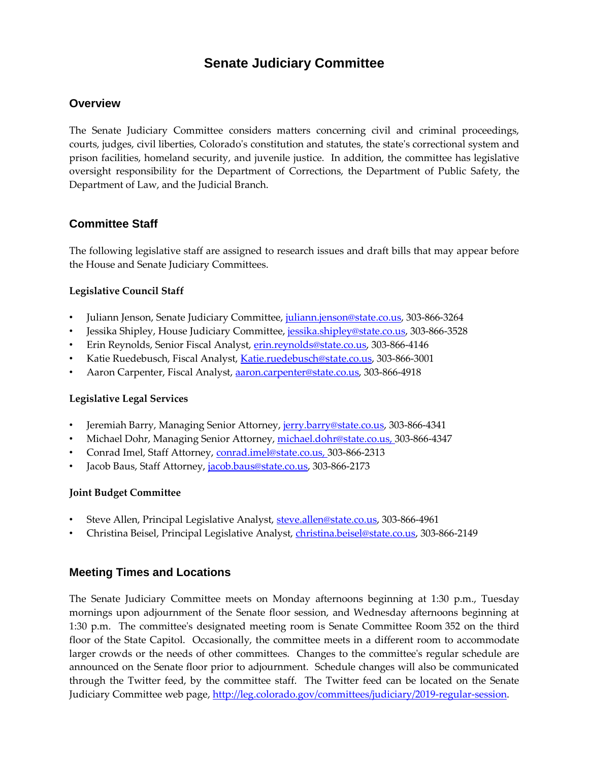# **Senate Judiciary Committee**

#### **Overview**

The Senate Judiciary Committee considers matters concerning civil and criminal proceedings, courts, judges, civil liberties, Colorado's constitution and statutes, the state's correctional system and prison facilities, homeland security, and juvenile justice. In addition, the committee has legislative oversight responsibility for the Department of Corrections, the Department of Public Safety, the Department of Law, and the Judicial Branch.

### **Committee Staff**

The following legislative staff are assigned to research issues and draft bills that may appear before the House and Senate Judiciary Committees.

#### **Legislative Council Staff**

- Juliann Jenson, Senate Judiciary Committee, [juliann.jenson@state.co.us,](mailto:juliann.jenson@state.co.us) 303-866-3264
- Jessika Shipley, House Judiciary Committee, [jessika.shipley@state.co.us,](mailto:jessika.shipley@state.co.us) 303-866-3528
- Erin Reynolds, Senior Fiscal Analyst, [erin.reynolds@state.co.us,](mailto:erin.reynolds@state.co.us) 303-866-4146
- Katie Ruedebusch, Fiscal Analyst, [Katie.ruedebusch@state.co.us,](mailto:Katie.ruedebusch@state.co.us) 303-866-3001
- Aaron Carpenter, Fiscal Analyst[, aaron.carpenter@state.co.us,](mailto:aaron.carpenter@state.co.us) 303-866-4918

#### **Legislative Legal Services**

- Jeremiah Barry, Managing Senior Attorney[, jerry.barry@state.co.us,](mailto:jerry.barry@state.co.us) 303-866-4341
- Michael Dohr, Managing Senior Attorney[, michael.dohr@state.co.us,](mailto:michael.dohr@state.co.us) 303-866-4347
- Conrad Imel, Staff Attorney, [conrad.imel@state.co.us,](mailto:conrad.imel@state.co.us) 303-866-2313
- Jacob Baus, Staff Attorney, [jacob.baus@state.co.us,](mailto:jacob.baus@state.co.us) 303-866-2173

#### **Joint Budget Committee**

- Steve Allen, Principal Legislative Analyst, [steve.allen@state.co.us,](mailto:steve.allen@state.co.us) 303-866-4961
- Christina Beisel, Principal Legislative Analyst, [christina.beisel@state.co.us,](mailto:christina.beisel@state.co.us) 303-866-2149

### **Meeting Times and Locations**

The Senate Judiciary Committee meets on Monday afternoons beginning at 1:30 p.m., Tuesday mornings upon adjournment of the Senate floor session, and Wednesday afternoons beginning at 1:30 p.m. The committee's designated meeting room is Senate Committee Room 352 on the third floor of the State Capitol. Occasionally, the committee meets in a different room to accommodate larger crowds or the needs of other committees. Changes to the committee's regular schedule are announced on the Senate floor prior to adjournment. Schedule changes will also be communicated through the Twitter feed, by the committee staff. The Twitter feed can be located on the Senate Judiciary Committee web page, [http://leg.colorado.gov/committees/judiciary/2019-regular-session.](http://leg.colorado.gov/committees/judiciary/2019-regular-session)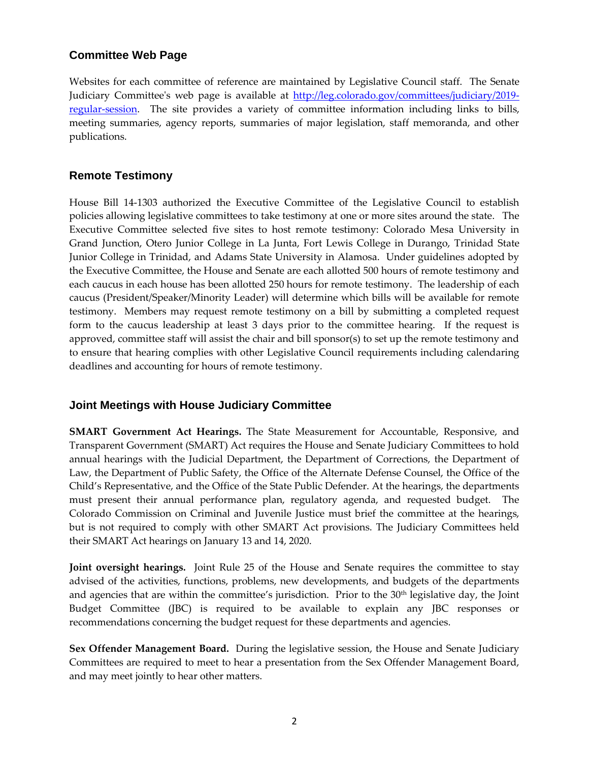### **Committee Web Page**

Websites for each committee of reference are maintained by Legislative Council staff. The Senate Judiciary Committee's web page is available at [http://leg.colorado.gov/committees/judiciary/2019](http://leg.colorado.gov/committees/judiciary/2019-regular-session) [regular-session.](http://leg.colorado.gov/committees/judiciary/2019-regular-session) The site provides a variety of committee information including links to bills, meeting summaries, agency reports, summaries of major legislation, staff memoranda, and other publications.

### **Remote Testimony**

House Bill 14-1303 authorized the Executive Committee of the Legislative Council to establish policies allowing legislative committees to take testimony at one or more sites around the state. The Executive Committee selected five sites to host remote testimony: Colorado Mesa University in Grand Junction, Otero Junior College in La Junta, Fort Lewis College in Durango, Trinidad State Junior College in Trinidad, and Adams State University in Alamosa. Under guidelines adopted by the Executive Committee, the House and Senate are each allotted 500 hours of remote testimony and each caucus in each house has been allotted 250 hours for remote testimony. The leadership of each caucus (President/Speaker/Minority Leader) will determine which bills will be available for remote testimony. Members may request remote testimony on a bill by submitting a completed request form to the caucus leadership at least 3 days prior to the committee hearing. If the request is approved, committee staff will assist the chair and bill sponsor(s) to set up the remote testimony and to ensure that hearing complies with other Legislative Council requirements including calendaring deadlines and accounting for hours of remote testimony.

### **Joint Meetings with House Judiciary Committee**

**SMART Government Act Hearings.** The State Measurement for Accountable, Responsive, and Transparent Government (SMART) Act requires the House and Senate Judiciary Committees to hold annual hearings with the Judicial Department, the Department of Corrections, the Department of Law, the Department of Public Safety, the Office of the Alternate Defense Counsel, the Office of the Child's Representative, and the Office of the State Public Defender. At the hearings, the departments must present their annual performance plan, regulatory agenda, and requested budget. Colorado Commission on Criminal and Juvenile Justice must brief the committee at the hearings, but is not required to comply with other SMART Act provisions. The Judiciary Committees held their SMART Act hearings on January 13 and 14, 2020.

**Joint oversight hearings.**Joint Rule 25 of the House and Senate requires the committee to stay advised of the activities, functions, problems, new developments, and budgets of the departments and agencies that are within the committee's jurisdiction. Prior to the 30th legislative day, the Joint Budget Committee (JBC) is required to be available to explain any JBC responses or recommendations concerning the budget request for these departments and agencies.

**Sex Offender Management Board.** During the legislative session, the House and Senate Judiciary Committees are required to meet to hear a presentation from the Sex Offender Management Board, and may meet jointly to hear other matters.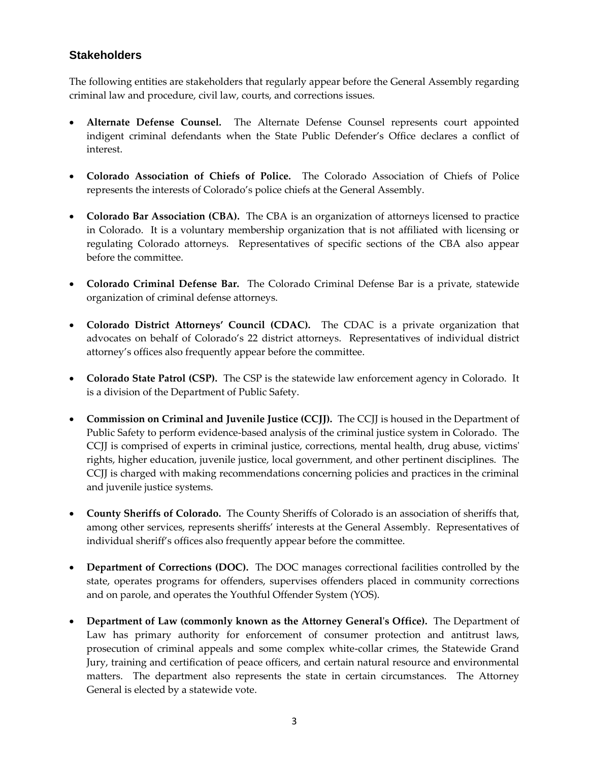## **Stakeholders**

The following entities are stakeholders that regularly appear before the General Assembly regarding criminal law and procedure, civil law, courts, and corrections issues.

- **Alternate Defense Counsel.** The Alternate Defense Counsel represents court appointed indigent criminal defendants when the State Public Defender's Office declares a conflict of interest.
- **Colorado Association of Chiefs of Police.** The Colorado Association of Chiefs of Police represents the interests of Colorado's police chiefs at the General Assembly.
- **Colorado Bar Association (CBA).** The CBA is an organization of attorneys licensed to practice in Colorado. It is a voluntary membership organization that is not affiliated with licensing or regulating Colorado attorneys. Representatives of specific sections of the CBA also appear before the committee.
- **Colorado Criminal Defense Bar.** The Colorado Criminal Defense Bar is a private, statewide organization of criminal defense attorneys.
- **Colorado District Attorneys' Council (CDAC).** The CDAC is a private organization that advocates on behalf of Colorado's 22 district attorneys. Representatives of individual district attorney's offices also frequently appear before the committee.
- **Colorado State Patrol (CSP).** The CSP is the statewide law enforcement agency in Colorado. It is a division of the Department of Public Safety.
- **Commission on Criminal and Juvenile Justice (CCJJ).** The CCJJ is housed in the Department of Public Safety to perform evidence-based analysis of the criminal justice system in Colorado. The CCJJ is comprised of experts in criminal justice, corrections, mental health, drug abuse, victims' rights, higher education, juvenile justice, local government, and other pertinent disciplines. The CCJJ is charged with making recommendations concerning policies and practices in the criminal and juvenile justice systems.
- **County Sheriffs of Colorado.** The County Sheriffs of Colorado is an association of sheriffs that, among other services, represents sheriffs' interests at the General Assembly. Representatives of individual sheriff's offices also frequently appear before the committee.
- **Department of Corrections (DOC).** The DOC manages correctional facilities controlled by the state, operates programs for offenders, supervises offenders placed in community corrections and on parole, and operates the Youthful Offender System (YOS).
- **Department of Law (commonly known as the Attorney General's Office).** The Department of Law has primary authority for enforcement of consumer protection and antitrust laws, prosecution of criminal appeals and some complex white-collar crimes, the Statewide Grand Jury, training and certification of peace officers, and certain natural resource and environmental matters. The department also represents the state in certain circumstances. The Attorney General is elected by a statewide vote.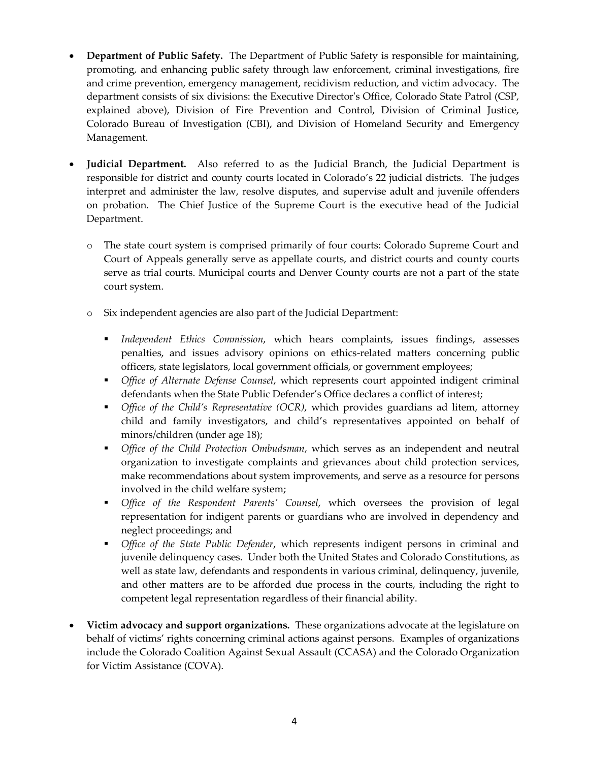- **Department of Public Safety.** The Department of Public Safety is responsible for maintaining, promoting, and enhancing public safety through law enforcement, criminal investigations, fire and crime prevention, emergency management, recidivism reduction, and victim advocacy. The department consists of six divisions: the Executive Director's Office, Colorado State Patrol (CSP, explained above), Division of Fire Prevention and Control, Division of Criminal Justice, Colorado Bureau of Investigation (CBI), and Division of Homeland Security and Emergency Management.
- **Judicial Department.** Also referred to as the Judicial Branch, the Judicial Department is responsible for district and county courts located in Colorado's 22 judicial districts. The judges interpret and administer the law, resolve disputes, and supervise adult and juvenile offenders on probation. The Chief Justice of the Supreme Court is the executive head of the Judicial Department.
	- o The state court system is comprised primarily of four courts: Colorado Supreme Court and Court of Appeals generally serve as appellate courts, and district courts and county courts serve as trial courts. Municipal courts and Denver County courts are not a part of the state court system.
	- o Six independent agencies are also part of the Judicial Department:
		- *Independent Ethics Commission*, which hears complaints, issues findings, assesses penalties, and issues advisory opinions on ethics-related matters concerning public officers, state legislators, local government officials, or government employees;
		- *Office of Alternate Defense Counsel*, which represents court appointed indigent criminal defendants when the State Public Defender's Office declares a conflict of interest;
		- *Office of the Child's Representative (OCR)*, which provides guardians ad litem, attorney child and family investigators, and child's representatives appointed on behalf of minors/children (under age 18);
		- *Office of the Child Protection Ombudsman*, which serves as an independent and neutral organization to investigate complaints and grievances about child protection services, make recommendations about system improvements, and serve as a resource for persons involved in the child welfare system;
		- *Office of the Respondent Parents' Counsel*, which oversees the provision of legal representation for indigent parents or guardians who are involved in dependency and neglect proceedings; and
		- *Office of the State Public Defender*, which represents indigent persons in criminal and juvenile delinquency cases. Under both the United States and Colorado Constitutions, as well as state law, defendants and respondents in various criminal, delinquency, juvenile, and other matters are to be afforded due process in the courts, including the right to competent legal representation regardless of their financial ability.
- **Victim advocacy and support organizations.** These organizations advocate at the legislature on behalf of victims' rights concerning criminal actions against persons. Examples of organizations include the Colorado Coalition Against Sexual Assault (CCASA) and the Colorado Organization for Victim Assistance (COVA).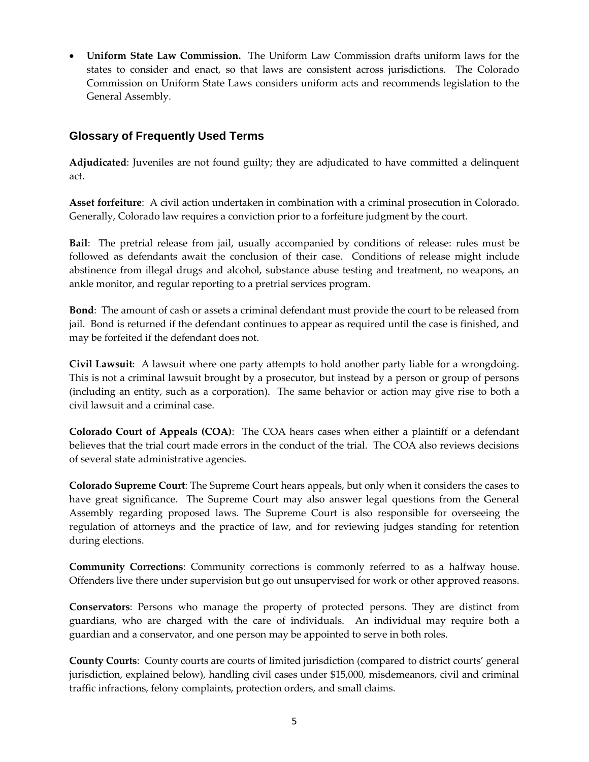**Uniform State Law Commission.** The Uniform Law Commission drafts uniform laws for the states to consider and enact, so that laws are consistent across jurisdictions. The Colorado Commission on Uniform State Laws considers uniform acts and recommends legislation to the General Assembly.

## **Glossary of Frequently Used Terms**

**Adjudicated**: Juveniles are not found guilty; they are adjudicated to have committed a delinquent act.

**Asset forfeiture**: A civil action undertaken in combination with a criminal prosecution in Colorado. Generally, Colorado law requires a conviction prior to a forfeiture judgment by the court.

**Bail**: The pretrial release from jail, usually accompanied by conditions of release: rules must be followed as defendants await the conclusion of their case. Conditions of release might include abstinence from illegal drugs and alcohol, substance abuse testing and treatment, no weapons, an ankle monitor, and regular reporting to a pretrial services program.

**Bond**: The amount of cash or assets a criminal defendant must provide the court to be released from jail. Bond is returned if the defendant continues to appear as required until the case is finished, and may be forfeited if the defendant does not.

**Civil Lawsuit**: A lawsuit where one party attempts to hold another party liable for a wrongdoing. This is not a criminal lawsuit brought by a prosecutor, but instead by a person or group of persons (including an entity, such as a corporation). The same behavior or action may give rise to both a civil lawsuit and a criminal case.

**Colorado Court of Appeals (COA)**: The COA hears cases when either a plaintiff or a defendant believes that the trial court made errors in the conduct of the trial. The COA also reviews decisions of several state administrative agencies.

**Colorado Supreme Court**: The Supreme Court hears appeals, but only when it considers the cases to have great significance. The Supreme Court may also answer legal questions from the General Assembly regarding proposed laws. The Supreme Court is also responsible for overseeing the regulation of attorneys and the practice of law, and for reviewing judges standing for retention during elections.

**Community Corrections**: Community corrections is commonly referred to as a halfway house. Offenders live there under supervision but go out unsupervised for work or other approved reasons.

**Conservators**: Persons who manage the property of protected persons. They are distinct from guardians, who are charged with the care of individuals. An individual may require both a guardian and a conservator, and one person may be appointed to serve in both roles.

**County Courts**: County courts are courts of limited jurisdiction (compared to district courts' general jurisdiction, explained below), handling civil cases under \$15,000, misdemeanors, civil and criminal traffic infractions, felony complaints, protection orders, and small claims.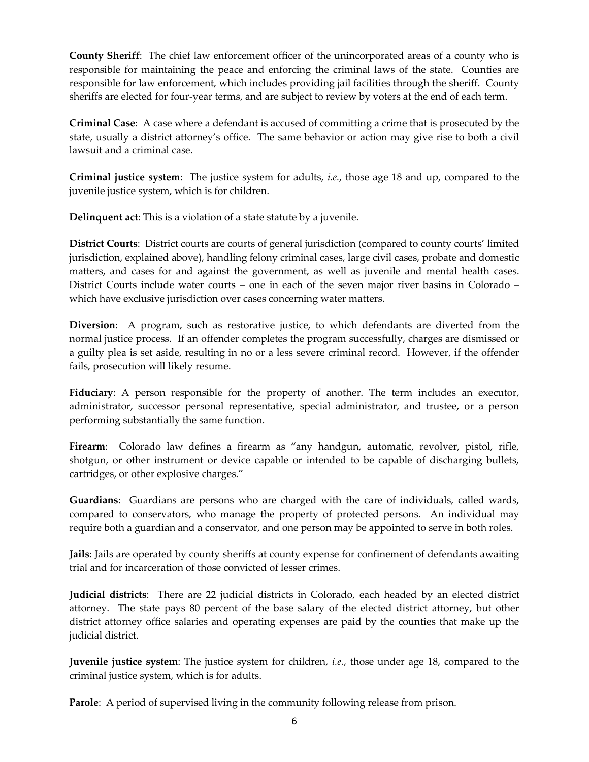**County Sheriff**: The chief law enforcement officer of the unincorporated areas of a county who is responsible for maintaining the peace and enforcing the criminal laws of the state. Counties are responsible for law enforcement, which includes providing jail facilities through the sheriff. County sheriffs are elected for four-year terms, and are subject to review by voters at the end of each term.

**Criminal Case**: A case where a defendant is accused of committing a crime that is prosecuted by the state, usually a district attorney's office. The same behavior or action may give rise to both a civil lawsuit and a criminal case.

**Criminal justice system**: The justice system for adults, *i.e.*, those age 18 and up, compared to the juvenile justice system, which is for children.

**Delinquent act**: This is a violation of a state statute by a juvenile.

**District Courts**: District courts are courts of general jurisdiction (compared to county courts' limited jurisdiction, explained above), handling felony criminal cases, large civil cases, probate and domestic matters, and cases for and against the government, as well as juvenile and mental health cases. District Courts include water courts – one in each of the seven major river basins in Colorado – which have exclusive jurisdiction over cases concerning water matters.

**Diversion**: A program, such as restorative justice, to which defendants are diverted from the normal justice process. If an offender completes the program successfully, charges are dismissed or a guilty plea is set aside, resulting in no or a less severe criminal record. However, if the offender fails, prosecution will likely resume.

**Fiduciary**: A person responsible for the property of another. The term includes an executor, administrator, successor personal representative, special administrator, and trustee, or a person performing substantially the same function.

Firearm: Colorado law defines a firearm as "any handgun, automatic, revolver, pistol, rifle, shotgun, or other instrument or device capable or intended to be capable of discharging bullets, cartridges, or other explosive charges."

**Guardians**: Guardians are persons who are charged with the care of individuals, called wards, compared to conservators, who manage the property of protected persons. An individual may require both a guardian and a conservator, and one person may be appointed to serve in both roles.

**Jails**: Jails are operated by county sheriffs at county expense for confinement of defendants awaiting trial and for incarceration of those convicted of lesser crimes.

**Judicial districts**: There are 22 judicial districts in Colorado, each headed by an elected district attorney. The state pays 80 percent of the base salary of the elected district attorney, but other district attorney office salaries and operating expenses are paid by the counties that make up the judicial district.

**Juvenile justice system**: The justice system for children, *i.e.*, those under age 18, compared to the criminal justice system, which is for adults.

**Parole**: A period of supervised living in the community following release from prison.